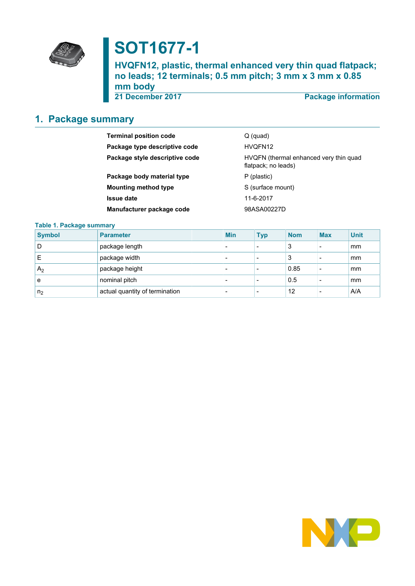

# **SOT1677-1**

**HVQFN12, plastic, thermal enhanced very thin quad flatpack; no leads; 12 terminals; 0.5 mm pitch; 3 mm x 3 mm x 0.85 mm body**

**21 December 2017 Package information**

# <span id="page-0-0"></span>**1. Package summary**

| <b>Terminal position code</b>  | $Q$ (quad)                                                    |
|--------------------------------|---------------------------------------------------------------|
| Package type descriptive code  | HVQFN12                                                       |
| Package style descriptive code | HVQFN (thermal enhanced very thin quad<br>flatpack; no leads) |
| Package body material type     | P (plastic)                                                   |
| <b>Mounting method type</b>    | S (surface mount)                                             |
| <b>Issue date</b>              | 11-6-2017                                                     |
| Manufacturer package code      | 98ASA00227D                                                   |

### **Table 1. Package summary**

| <b>Symbol</b>  | <b>Parameter</b>               | <b>Min</b>               | <b>Typ</b>               | <b>Nom</b> | <b>Max</b>      | <b>Unit</b> |
|----------------|--------------------------------|--------------------------|--------------------------|------------|-----------------|-------------|
| D              | package length                 | -                        | $\overline{\phantom{0}}$ | 3          | $\qquad \qquad$ | mm          |
| Е              | package width                  | -                        | $\,$                     | 3          | $\qquad \qquad$ | mm          |
| A <sub>2</sub> | package height                 | -                        | $\overline{\phantom{0}}$ | 0.85       | $\qquad \qquad$ | mm          |
| е              | nominal pitch                  | $\overline{\phantom{0}}$ | $\,$                     | 0.5        | $\qquad \qquad$ | mm          |
| n <sub>2</sub> | actual quantity of termination | -                        | $\,$                     | 12         |                 | A/A         |

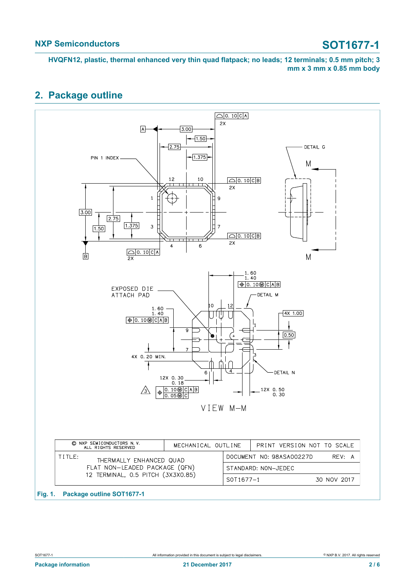# <span id="page-1-0"></span>**2. Package outline**

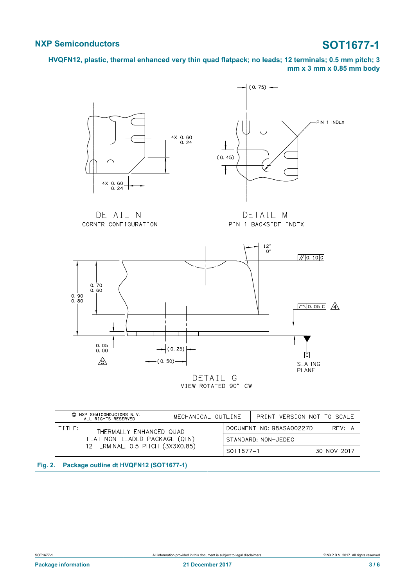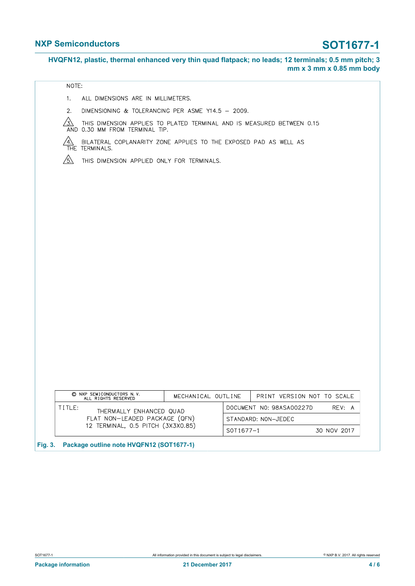### NOTE:

- ALL DIMENSIONS ARE IN MILLIMETERS.  $1.$
- DIMENSIONING & TOLERANCING PER ASME Y14.5 2009.  $2.$
- $\sqrt{3}$  $\frac{\sqrt{3}}{3}$  this dimension applies to plated terminal and is measured between 0.15 and 0.30 mm from terminal tip.

 $\frac{\sqrt{4}}{1}$  bilateral coplanarity zone applies to the exposed pad as well as

 $\sqrt{5}$ THIS DIMENSION APPLIED ONLY FOR TERMINALS.

| C NXP SEMICONDUCTORS N V<br>ALL RIGHTS RESERVED | MECHANICAL OUTLINE  |                                    | PRINT VERSION NOT TO SCALE |             |
|-------------------------------------------------|---------------------|------------------------------------|----------------------------|-------------|
| TITLE:<br>THERMALLY ENHANCED QUAD               |                     | DOCUMENT NO: 98ASA00227D<br>RFV: A |                            |             |
| FLAT NON-LEADED PACKAGE (QFN)                   | STANDARD: NON-JEDEC |                                    |                            |             |
| 12 TERMINAL, 0.5 PITCH (3X3X0.85)               |                     | SOT1677-1                          |                            | 30 NOV 2017 |

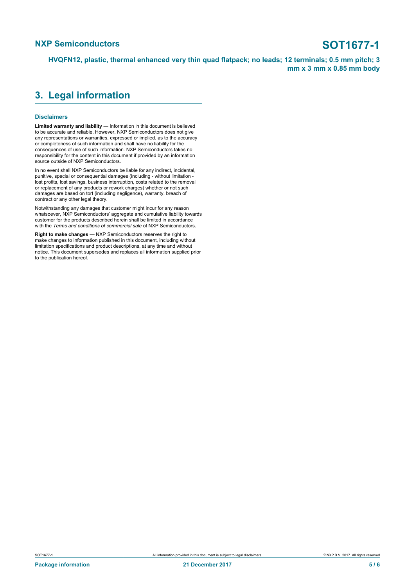## <span id="page-4-0"></span>**3. Legal information**

### **Disclaimers**

**Limited warranty and liability** — Information in this document is believed to be accurate and reliable. However, NXP Semiconductors does not give any representations or warranties, expressed or implied, as to the accuracy or completeness of such information and shall have no liability for the consequences of use of such information. NXP Semiconductors takes no responsibility for the content in this document if provided by an information source outside of NXP Semiconductors.

In no event shall NXP Semiconductors be liable for any indirect, incidental, punitive, special or consequential damages (including - without limitation lost profits, lost savings, business interruption, costs related to the removal or replacement of any products or rework charges) whether or not such damages are based on tort (including negligence), warranty, breach of contract or any other legal theory.

Notwithstanding any damages that customer might incur for any reason whatsoever, NXP Semiconductors' aggregate and cumulative liability towards customer for the products described herein shall be limited in accordance with the *Terms and conditions of commercial sale* of NXP Semiconductors.

**Right to make changes** — NXP Semiconductors reserves the right to make changes to information published in this document, including without limitation specifications and product descriptions, at any time and without notice. This document supersedes and replaces all information supplied prior to the publication hereof.